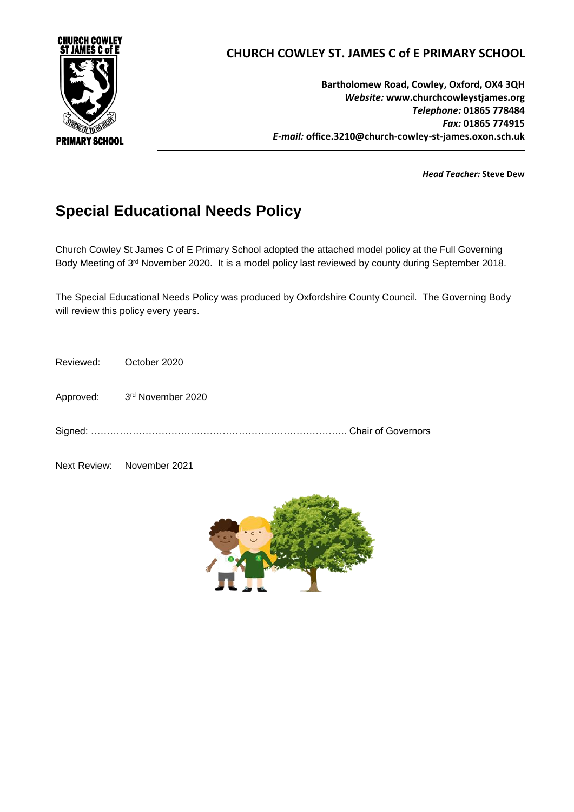

# **CHURCH COWLEY ST. JAMES C of E PRIMARY SCHOOL**

**Bartholomew Road, Cowley, Oxford, OX4 3QH** *Website:* **www[.churchcowleystjames.org](mailto:office.3210@church-cowley-st-james.oxon.sch.uk)** *Telephone:* **01865 778484** *Fax:* **01865 774915** *E-mail:* **office.3210@church-cowley-st-james.oxon.sch.uk**

*Head Teacher:* **Steve Dew**

# **Special Educational Needs Policy**

Church Cowley St James C of E Primary School adopted the attached model policy at the Full Governing Body Meeting of 3<sup>rd</sup> November 2020. It is a model policy last reviewed by county during September 2018.

The Special Educational Needs Policy was produced by Oxfordshire County Council. The Governing Body will review this policy every years.

Reviewed: October 2020

Approved: 3rd November 2020

Signed: …………………………………………………………………….. Chair of Governors

Next Review: November 2021

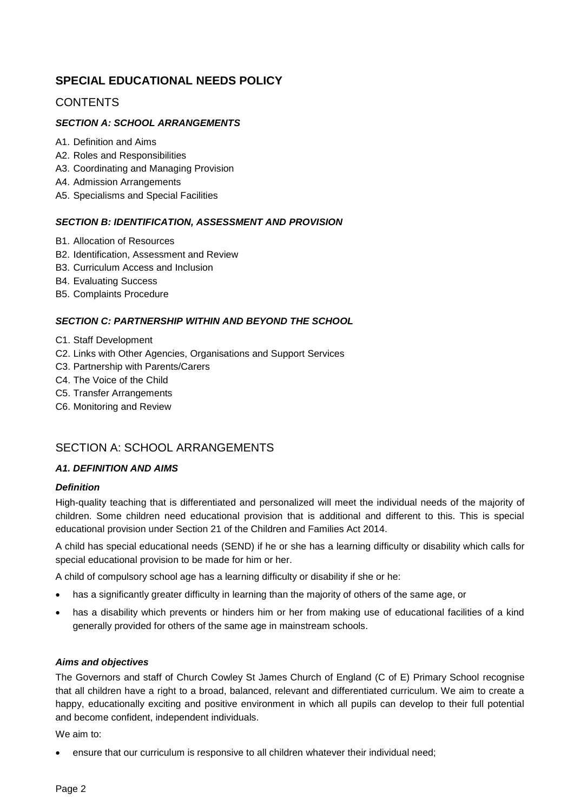# **SPECIAL EDUCATIONAL NEEDS POLICY**

# **CONTENTS**

# *SECTION A: SCHOOL ARRANGEMENTS*

- A1. Definition and Aims
- A2. Roles and Responsibilities
- A3. Coordinating and Managing Provision
- A4. Admission Arrangements
- A5. Specialisms and Special Facilities

#### *SECTION B: IDENTIFICATION, ASSESSMENT AND PROVISION*

- B1. Allocation of Resources
- B2. Identification, Assessment and Review
- B3. Curriculum Access and Inclusion
- B4. Evaluating Success
- B5. Complaints Procedure

#### *SECTION C: PARTNERSHIP WITHIN AND BEYOND THE SCHOOL*

- C1. Staff Development
- C2. Links with Other Agencies, Organisations and Support Services
- C3. Partnership with Parents/Carers
- C4. The Voice of the Child
- C5. Transfer Arrangements
- C6. Monitoring and Review

# SECTION A: SCHOOL ARRANGEMENTS

#### *A1. DEFINITION AND AIMS*

#### *Definition*

High-quality teaching that is differentiated and personalized will meet the individual needs of the majority of children. Some children need educational provision that is additional and different to this. This is special educational provision under Section 21 of the Children and Families Act 2014.

A child has special educational needs (SEND) if he or she has a learning difficulty or disability which calls for special educational provision to be made for him or her.

A child of compulsory school age has a learning difficulty or disability if she or he:

- has a significantly greater difficulty in learning than the majority of others of the same age, or
- has a disability which prevents or hinders him or her from making use of educational facilities of a kind generally provided for others of the same age in mainstream schools.

#### *Aims and objectives*

The Governors and staff of Church Cowley St James Church of England (C of E) Primary School recognise that all children have a right to a broad, balanced, relevant and differentiated curriculum. We aim to create a happy, educationally exciting and positive environment in which all pupils can develop to their full potential and become confident, independent individuals.

We aim to:

ensure that our curriculum is responsive to all children whatever their individual need;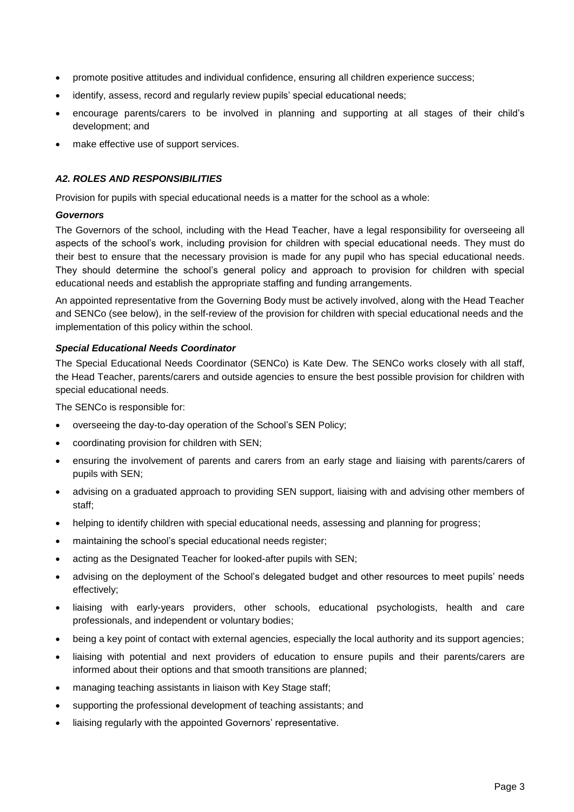- promote positive attitudes and individual confidence, ensuring all children experience success;
- identify, assess, record and regularly review pupils' special educational needs;
- encourage parents/carers to be involved in planning and supporting at all stages of their child's development; and
- make effective use of support services.

### *A2. ROLES AND RESPONSIBILITIES*

Provision for pupils with special educational needs is a matter for the school as a whole:

#### *Governors*

The Governors of the school, including with the Head Teacher, have a legal responsibility for overseeing all aspects of the school's work, including provision for children with special educational needs. They must do their best to ensure that the necessary provision is made for any pupil who has special educational needs. They should determine the school's general policy and approach to provision for children with special educational needs and establish the appropriate staffing and funding arrangements.

An appointed representative from the Governing Body must be actively involved, along with the Head Teacher and SENCo (see below), in the self-review of the provision for children with special educational needs and the implementation of this policy within the school.

### *Special Educational Needs Coordinator*

The Special Educational Needs Coordinator (SENCo) is Kate Dew. The SENCo works closely with all staff, the Head Teacher, parents/carers and outside agencies to ensure the best possible provision for children with special educational needs.

The SENCo is responsible for:

- overseeing the day-to-day operation of the School's SEN Policy;
- coordinating provision for children with SEN;
- ensuring the involvement of parents and carers from an early stage and liaising with parents/carers of pupils with SEN;
- advising on a graduated approach to providing SEN support, liaising with and advising other members of staff;
- helping to identify children with special educational needs, assessing and planning for progress;
- maintaining the school's special educational needs register;
- acting as the Designated Teacher for looked-after pupils with SEN;
- advising on the deployment of the School's delegated budget and other resources to meet pupils' needs effectively;
- liaising with early-years providers, other schools, educational psychologists, health and care professionals, and independent or voluntary bodies;
- being a key point of contact with external agencies, especially the local authority and its support agencies;
- liaising with potential and next providers of education to ensure pupils and their parents/carers are informed about their options and that smooth transitions are planned;
- managing teaching assistants in liaison with Key Stage staff;
- supporting the professional development of teaching assistants; and
- liaising regularly with the appointed Governors' representative.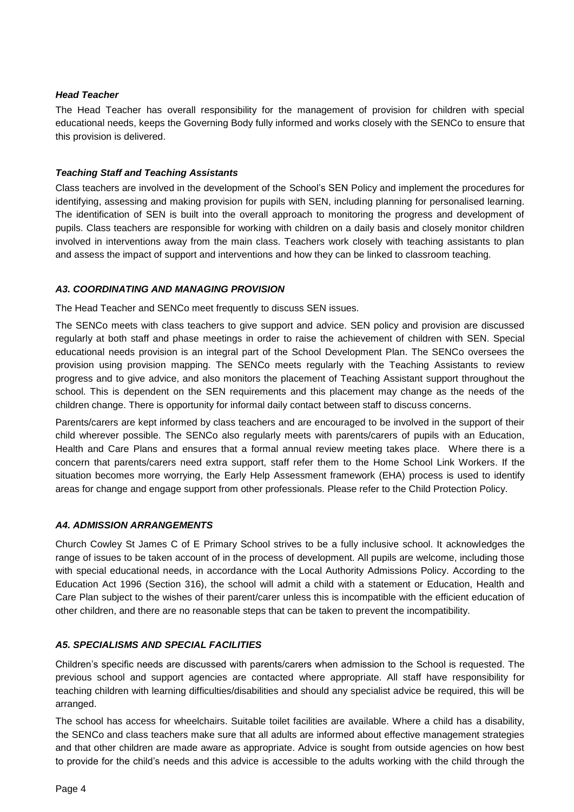## *Head Teacher*

The Head Teacher has overall responsibility for the management of provision for children with special educational needs, keeps the Governing Body fully informed and works closely with the SENCo to ensure that this provision is delivered.

### *Teaching Staff and Teaching Assistants*

Class teachers are involved in the development of the School's SEN Policy and implement the procedures for identifying, assessing and making provision for pupils with SEN, including planning for personalised learning. The identification of SEN is built into the overall approach to monitoring the progress and development of pupils. Class teachers are responsible for working with children on a daily basis and closely monitor children involved in interventions away from the main class. Teachers work closely with teaching assistants to plan and assess the impact of support and interventions and how they can be linked to classroom teaching.

### *A3. COORDINATING AND MANAGING PROVISION*

The Head Teacher and SENCo meet frequently to discuss SEN issues.

The SENCo meets with class teachers to give support and advice. SEN policy and provision are discussed regularly at both staff and phase meetings in order to raise the achievement of children with SEN. Special educational needs provision is an integral part of the School Development Plan. The SENCo oversees the provision using provision mapping. The SENCo meets regularly with the Teaching Assistants to review progress and to give advice, and also monitors the placement of Teaching Assistant support throughout the school. This is dependent on the SEN requirements and this placement may change as the needs of the children change. There is opportunity for informal daily contact between staff to discuss concerns.

Parents/carers are kept informed by class teachers and are encouraged to be involved in the support of their child wherever possible. The SENCo also regularly meets with parents/carers of pupils with an Education, Health and Care Plans and ensures that a formal annual review meeting takes place. Where there is a concern that parents/carers need extra support, staff refer them to the Home School Link Workers. If the situation becomes more worrying, the Early Help Assessment framework (EHA) process is used to identify areas for change and engage support from other professionals. Please refer to the Child Protection Policy.

# *A4. ADMISSION ARRANGEMENTS*

Church Cowley St James C of E Primary School strives to be a fully inclusive school. It acknowledges the range of issues to be taken account of in the process of development. All pupils are welcome, including those with special educational needs, in accordance with the Local Authority Admissions Policy. According to the Education Act 1996 (Section 316), the school will admit a child with a statement or Education, Health and Care Plan subject to the wishes of their parent/carer unless this is incompatible with the efficient education of other children, and there are no reasonable steps that can be taken to prevent the incompatibility.

# *A5. SPECIALISMS AND SPECIAL FACILITIES*

Children's specific needs are discussed with parents/carers when admission to the School is requested. The previous school and support agencies are contacted where appropriate. All staff have responsibility for teaching children with learning difficulties/disabilities and should any specialist advice be required, this will be arranged.

The school has access for wheelchairs. Suitable toilet facilities are available. Where a child has a disability, the SENCo and class teachers make sure that all adults are informed about effective management strategies and that other children are made aware as appropriate. Advice is sought from outside agencies on how best to provide for the child's needs and this advice is accessible to the adults working with the child through the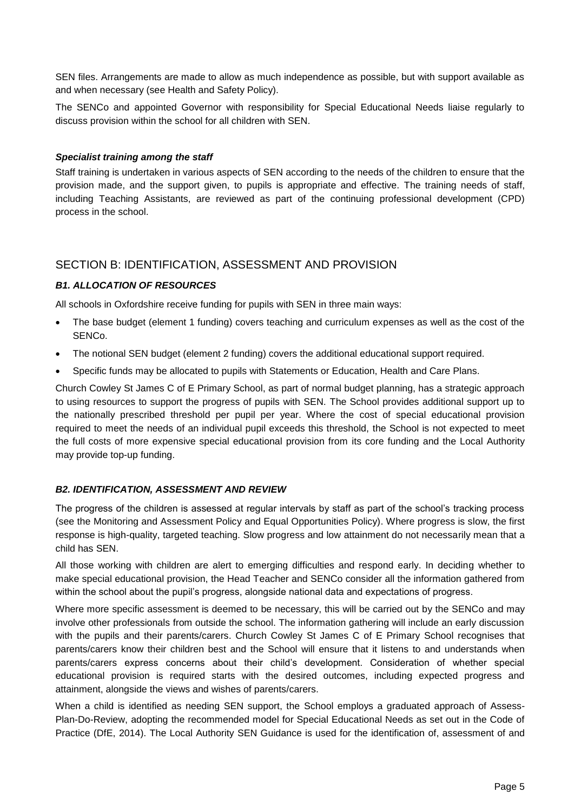SEN files. Arrangements are made to allow as much independence as possible, but with support available as and when necessary (see Health and Safety Policy).

The SENCo and appointed Governor with responsibility for Special Educational Needs liaise regularly to discuss provision within the school for all children with SEN.

#### *Specialist training among the staff*

Staff training is undertaken in various aspects of SEN according to the needs of the children to ensure that the provision made, and the support given, to pupils is appropriate and effective. The training needs of staff, including Teaching Assistants, are reviewed as part of the continuing professional development (CPD) process in the school.

# SECTION B: IDENTIFICATION, ASSESSMENT AND PROVISION

# *B1. ALLOCATION OF RESOURCES*

All schools in Oxfordshire receive funding for pupils with SEN in three main ways:

- The base budget (element 1 funding) covers teaching and curriculum expenses as well as the cost of the SENCo.
- The notional SEN budget (element 2 funding) covers the additional educational support required.
- Specific funds may be allocated to pupils with Statements or Education, Health and Care Plans.

Church Cowley St James C of E Primary School, as part of normal budget planning, has a strategic approach to using resources to support the progress of pupils with SEN. The School provides additional support up to the nationally prescribed threshold per pupil per year. Where the cost of special educational provision required to meet the needs of an individual pupil exceeds this threshold, the School is not expected to meet the full costs of more expensive special educational provision from its core funding and the Local Authority may provide top-up funding.

# *B2. IDENTIFICATION, ASSESSMENT AND REVIEW*

The progress of the children is assessed at regular intervals by staff as part of the school's tracking process (see the Monitoring and Assessment Policy and Equal Opportunities Policy). Where progress is slow, the first response is high-quality, targeted teaching. Slow progress and low attainment do not necessarily mean that a child has SEN.

All those working with children are alert to emerging difficulties and respond early. In deciding whether to make special educational provision, the Head Teacher and SENCo consider all the information gathered from within the school about the pupil's progress, alongside national data and expectations of progress.

Where more specific assessment is deemed to be necessary, this will be carried out by the SENCo and may involve other professionals from outside the school. The information gathering will include an early discussion with the pupils and their parents/carers. Church Cowley St James C of E Primary School recognises that parents/carers know their children best and the School will ensure that it listens to and understands when parents/carers express concerns about their child's development. Consideration of whether special educational provision is required starts with the desired outcomes, including expected progress and attainment, alongside the views and wishes of parents/carers.

When a child is identified as needing SEN support, the School employs a graduated approach of Assess-Plan-Do-Review, adopting the recommended model for Special Educational Needs as set out in the Code of Practice (DfE, 2014). The Local Authority SEN Guidance is used for the identification of, assessment of and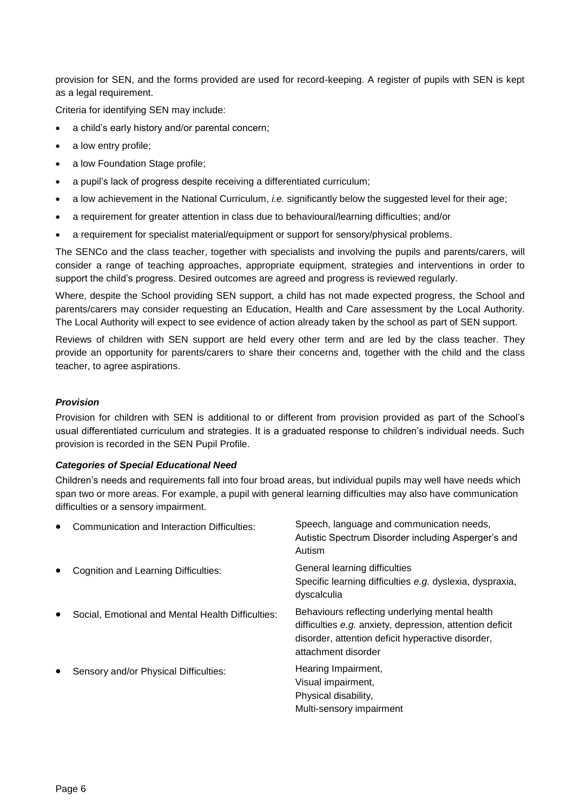provision for SEN, and the forms provided are used for record-keeping. A register of pupils with SEN is kept as a legal requirement.

Criteria for identifying SEN may include:

- a child's early history and/or parental concern;
- a low entry profile;
- a low Foundation Stage profile;
- a pupil's lack of progress despite receiving a differentiated curriculum:
- a low achievement in the National Curriculum, *i.e.* significantly below the suggested level for their age;
- a requirement for greater attention in class due to behavioural/learning difficulties; and/or
- a requirement for specialist material/equipment or support for sensory/physical problems.

The SENCo and the class teacher, together with specialists and involving the pupils and parents/carers, will consider a range of teaching approaches, appropriate equipment, strategies and interventions in order to support the child's progress. Desired outcomes are agreed and progress is reviewed regularly.

Where, despite the School providing SEN support, a child has not made expected progress, the School and parents/carers may consider requesting an Education, Health and Care assessment by the Local Authority. The Local Authority will expect to see evidence of action already taken by the school as part of SEN support.

Reviews of children with SEN support are held every other term and are led by the class teacher. They provide an opportunity for parents/carers to share their concerns and, together with the child and the class teacher, to agree aspirations.

#### *Provision*

Provision for children with SEN is additional to or different from provision provided as part of the School's usual differentiated curriculum and strategies. It is a graduated response to children's individual needs. Such provision is recorded in the SEN Pupil Profile.

#### *Categories of Special Educational Need*

Children's needs and requirements fall into four broad areas, but individual pupils may well have needs which span two or more areas. For example, a pupil with general learning difficulties may also have communication difficulties or a sensory impairment.

| $\bullet$ | Communication and Interaction Difficulties:       | Speech, language and communication needs,<br>Autistic Spectrum Disorder including Asperger's and<br>Autism                                                                             |
|-----------|---------------------------------------------------|----------------------------------------------------------------------------------------------------------------------------------------------------------------------------------------|
| ٠         | Cognition and Learning Difficulties:              | General learning difficulties<br>Specific learning difficulties e.g. dyslexia, dyspraxia,<br>dyscalculia                                                                               |
| $\bullet$ | Social, Emotional and Mental Health Difficulties: | Behaviours reflecting underlying mental health<br>difficulties e.g. anxiety, depression, attention deficit<br>disorder, attention deficit hyperactive disorder,<br>attachment disorder |
| $\bullet$ | Sensory and/or Physical Difficulties:             | Hearing Impairment,<br>Visual impairment,<br>Physical disability,<br>Multi-sensory impairment                                                                                          |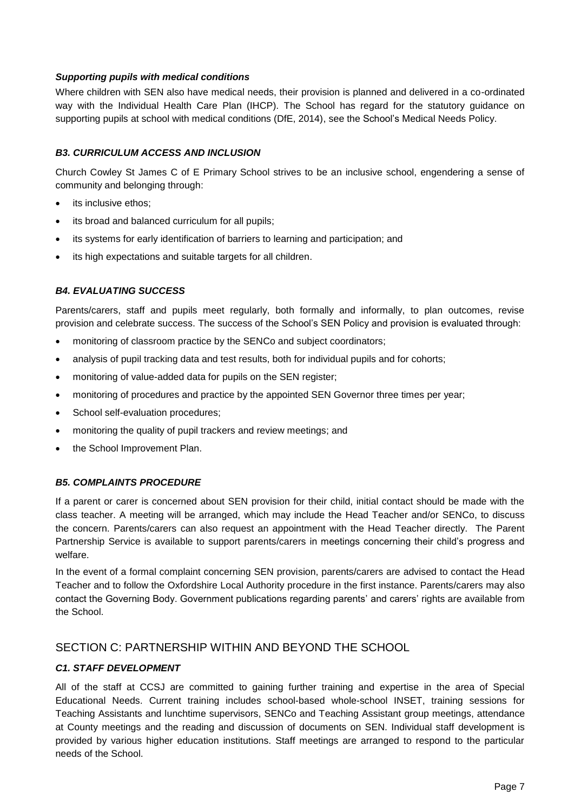### *Supporting pupils with medical conditions*

Where children with SEN also have medical needs, their provision is planned and delivered in a co-ordinated way with the Individual Health Care Plan (IHCP). The School has regard for the statutory guidance on supporting pupils at school with medical conditions (DfE, 2014), see the School's Medical Needs Policy.

## *B3. CURRICULUM ACCESS AND INCLUSION*

Church Cowley St James C of E Primary School strives to be an inclusive school, engendering a sense of community and belonging through:

- its inclusive ethos;
- its broad and balanced curriculum for all pupils;
- its systems for early identification of barriers to learning and participation; and
- its high expectations and suitable targets for all children.

### *B4. EVALUATING SUCCESS*

Parents/carers, staff and pupils meet regularly, both formally and informally, to plan outcomes, revise provision and celebrate success. The success of the School's SEN Policy and provision is evaluated through:

- monitoring of classroom practice by the SENCo and subject coordinators;
- analysis of pupil tracking data and test results, both for individual pupils and for cohorts;
- monitoring of value-added data for pupils on the SEN register;
- monitoring of procedures and practice by the appointed SEN Governor three times per year;
- School self-evaluation procedures;
- monitoring the quality of pupil trackers and review meetings; and
- the School Improvement Plan.

#### *B5. COMPLAINTS PROCEDURE*

If a parent or carer is concerned about SEN provision for their child, initial contact should be made with the class teacher. A meeting will be arranged, which may include the Head Teacher and/or SENCo, to discuss the concern. Parents/carers can also request an appointment with the Head Teacher directly. The Parent Partnership Service is available to support parents/carers in meetings concerning their child's progress and welfare.

In the event of a formal complaint concerning SEN provision, parents/carers are advised to contact the Head Teacher and to follow the Oxfordshire Local Authority procedure in the first instance. Parents/carers may also contact the Governing Body. Government publications regarding parents' and carers' rights are available from the School.

# SECTION C: PARTNERSHIP WITHIN AND BEYOND THE SCHOOL

#### *C1. STAFF DEVELOPMENT*

All of the staff at CCSJ are committed to gaining further training and expertise in the area of Special Educational Needs. Current training includes school-based whole-school INSET, training sessions for Teaching Assistants and lunchtime supervisors, SENCo and Teaching Assistant group meetings, attendance at County meetings and the reading and discussion of documents on SEN. Individual staff development is provided by various higher education institutions. Staff meetings are arranged to respond to the particular needs of the School.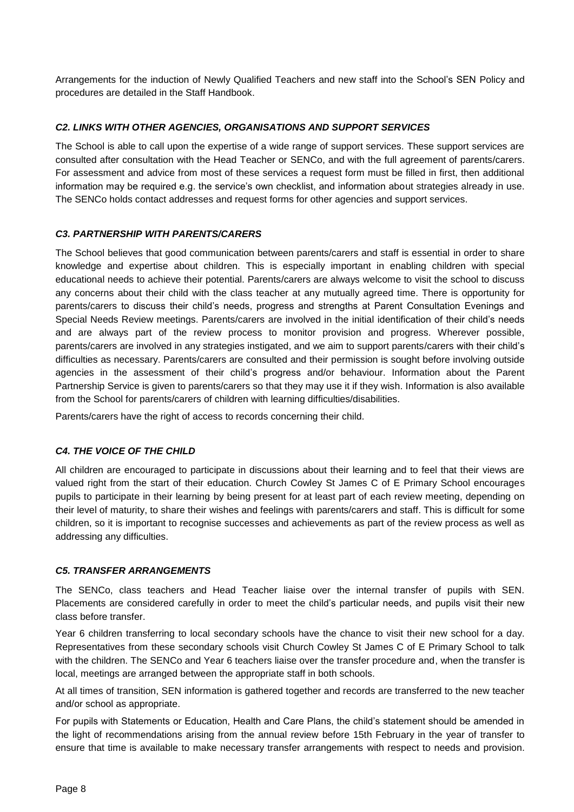Arrangements for the induction of Newly Qualified Teachers and new staff into the School's SEN Policy and procedures are detailed in the Staff Handbook.

## *C2. LINKS WITH OTHER AGENCIES, ORGANISATIONS AND SUPPORT SERVICES*

The School is able to call upon the expertise of a wide range of support services. These support services are consulted after consultation with the Head Teacher or SENCo, and with the full agreement of parents/carers. For assessment and advice from most of these services a request form must be filled in first, then additional information may be required e.g. the service's own checklist, and information about strategies already in use. The SENCo holds contact addresses and request forms for other agencies and support services.

### *C3. PARTNERSHIP WITH PARENTS/CARERS*

The School believes that good communication between parents/carers and staff is essential in order to share knowledge and expertise about children. This is especially important in enabling children with special educational needs to achieve their potential. Parents/carers are always welcome to visit the school to discuss any concerns about their child with the class teacher at any mutually agreed time. There is opportunity for parents/carers to discuss their child's needs, progress and strengths at Parent Consultation Evenings and Special Needs Review meetings. Parents/carers are involved in the initial identification of their child's needs and are always part of the review process to monitor provision and progress. Wherever possible, parents/carers are involved in any strategies instigated, and we aim to support parents/carers with their child's difficulties as necessary. Parents/carers are consulted and their permission is sought before involving outside agencies in the assessment of their child's progress and/or behaviour. Information about the Parent Partnership Service is given to parents/carers so that they may use it if they wish. Information is also available from the School for parents/carers of children with learning difficulties/disabilities.

Parents/carers have the right of access to records concerning their child.

#### *C4. THE VOICE OF THE CHILD*

All children are encouraged to participate in discussions about their learning and to feel that their views are valued right from the start of their education. Church Cowley St James C of E Primary School encourages pupils to participate in their learning by being present for at least part of each review meeting, depending on their level of maturity, to share their wishes and feelings with parents/carers and staff. This is difficult for some children, so it is important to recognise successes and achievements as part of the review process as well as addressing any difficulties.

#### *C5. TRANSFER ARRANGEMENTS*

The SENCo, class teachers and Head Teacher liaise over the internal transfer of pupils with SEN. Placements are considered carefully in order to meet the child's particular needs, and pupils visit their new class before transfer.

Year 6 children transferring to local secondary schools have the chance to visit their new school for a day. Representatives from these secondary schools visit Church Cowley St James C of E Primary School to talk with the children. The SENCo and Year 6 teachers liaise over the transfer procedure and, when the transfer is local, meetings are arranged between the appropriate staff in both schools.

At all times of transition, SEN information is gathered together and records are transferred to the new teacher and/or school as appropriate.

For pupils with Statements or Education, Health and Care Plans, the child's statement should be amended in the light of recommendations arising from the annual review before 15th February in the year of transfer to ensure that time is available to make necessary transfer arrangements with respect to needs and provision.